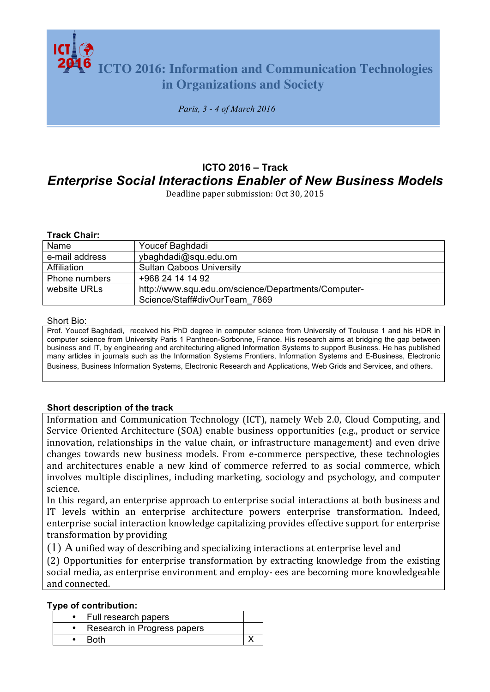**ICTO 2016: Information and Communication Technologies in Organizations and Society**

*Paris, 3 - 4 of March 2016*

# **ICTO 2016 – Track** *Enterprise Social Interactions Enabler of New Business Models*

Deadline paper submission: Oct 30, 2015

#### **Track Chair:**

| Name           | Youcef Baghdadi                                     |  |  |
|----------------|-----------------------------------------------------|--|--|
| e-mail address | ybaghdadi@squ.edu.om                                |  |  |
| Affiliation    | <b>Sultan Qaboos University</b>                     |  |  |
| Phone numbers  | +968 24 14 14 92                                    |  |  |
| website URLs   | http://www.squ.edu.om/science/Departments/Computer- |  |  |
|                | Science/Staff#divOurTeam 7869                       |  |  |

#### Short Bio:

Prof. Youcef Baghdadi, received his PhD degree in computer science from University of Toulouse 1 and his HDR in computer science from University Paris 1 Pantheon-Sorbonne, France. His research aims at bridging the gap between business and IT, by engineering and architecturing aligned Information Systems to support Business. He has published many articles in journals such as the Information Systems Frontiers, Information Systems and E-Business, Electronic Business, Business Information Systems, Electronic Research and Applications, Web Grids and Services, and others.

#### **Short description of the track**

Information and Communication Technology (ICT), namely Web 2.0, Cloud Computing, and Service Oriented Architecture (SOA) enable business opportunities (e.g., product or service innovation, relationships in the value chain, or infrastructure management) and even drive changes towards new business models. From e-commerce perspective, these technologies and architectures enable a new kind of commerce referred to as social commerce, which involves multiple disciplines, including marketing, sociology and psychology, and computer science.

In this regard, an enterprise approach to enterprise social interactions at both business and IT levels within an enterprise architecture powers enterprise transformation. Indeed, enterprise social interaction knowledge capitalizing provides effective support for enterprise transformation by providing

 $(1)$  A unified way of describing and specializing interactions at enterprise level and

(2) Opportunities for enterprise transformation by extracting knowledge from the existing social media, as enterprise environment and employ- ees are becoming more knowledgeable and connected.

### **Type of contribution:**

|  | Full research papers        |  |
|--|-----------------------------|--|
|  | Research in Progress papers |  |
|  | <b>Roth</b>                 |  |